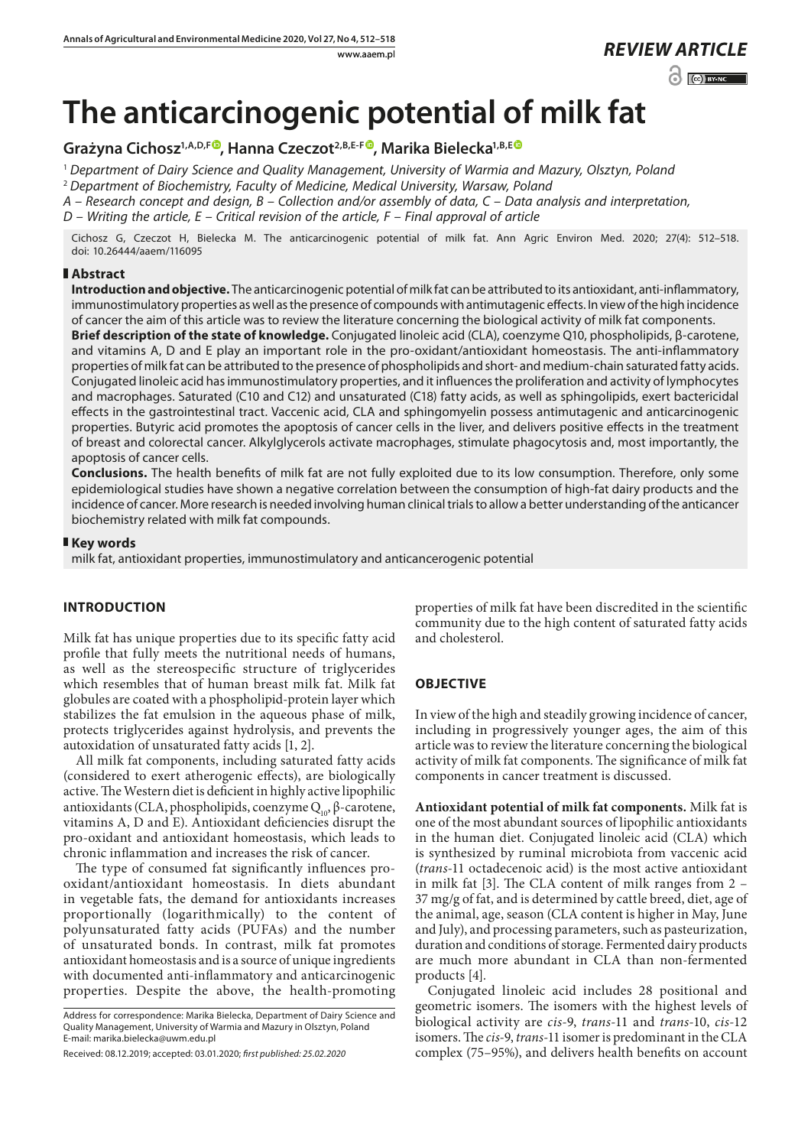www.aaem.pl *REVIEW [ARTICLE](https://creativecommons.org/licenses/by-nc/3.0/pl/deed.en)*   $\odot$   $\odot$  BY-NC

# **The anticarcinogenic potential of milk fat**

**Grażyna Cichosz1,A,D,[F](https://orcid.org/0000-0002-0004-8106) , Hanna Czeczot2,B,E-F [,](https://orcid.org/0000-0001-8541-6619) Marika Bielecka1,B,E**

<sup>1</sup> *Department of Dairy Science and Quality Management, University of Warmia and Mazury, Olsztyn, Poland*

<sup>2</sup> *Department of Biochemistry, Faculty of Medicine, Medical University, Warsaw, Poland*

*A – Research concept and design, B – Collection and/or assembly of data, C – Data analysis and interpretation,* 

*D – Writing the article, E – Critical revision of the article, F – Final approval of article*

Cichosz G, Czeczot H, Bielecka M. The anticarcinogenic potential of milk fat. Ann Agric Environ Med. 2020; 27(4): 512–518. doi: 10.26444/aaem/116095

### **Abstract**

**Introduction and objective.** The anticarcinogenic potential of milk fat can be attributed to its antioxidant, anti-inflammatory, immunostimulatory properties as well as the presence of compounds with antimutagenic effects. In view of the high incidence of cancer the aim of this article was to review the literature concerning the biological activity of milk fat components.

**Brief description of the state of knowledge.** Conjugated linoleic acid (CLA), coenzyme Q10, phospholipids, β-carotene, and vitamins A, D and E play an important role in the pro-oxidant/antioxidant homeostasis. The anti-inflammatory properties of milk fat can be attributed to the presence of phospholipids and short- and medium-chain saturated fatty acids. Conjugated linoleic acid has immunostimulatory properties, and it influences the proliferation and activity of lymphocytes and macrophages. Saturated (C10 and C12) and unsaturated (C18) fatty acids, as well as sphingolipids, exert bactericidal effects in the gastrointestinal tract. Vaccenic acid, CLA and sphingomyelin possess antimutagenic and anticarcinogenic properties. Butyric acid promotes the apoptosis of cancer cells in the liver, and delivers positive effects in the treatment of breast and colorectal cancer. Alkylglycerols activate macrophages, stimulate phagocytosis and, most importantly, the apoptosis of cancer cells.

**Conclusions.** The health benefits of milk fat are not fully exploited due to its low consumption. Therefore, only some epidemiological studies have shown a negative correlation between the consumption of high-fat dairy products and the incidence of cancer. More research is needed involving human clinical trials to allow a better understanding of the anticancer biochemistry related with milk fat compounds.

#### **Key words**

milk fat, antioxidant properties, immunostimulatory and anticancerogenic potential

## **INTRODUCTION**

Milk fat has unique properties due to its specific fatty acid profile that fully meets the nutritional needs of humans, as well as the stereospecific structure of triglycerides which resembles that of human breast milk fat. Milk fat globules are coated with a phospholipid-protein layer which stabilizes the fat emulsion in the aqueous phase of milk, protects triglycerides against hydrolysis, and prevents the autoxidation of unsaturated fatty acids [1, 2].

All milk fat components, including saturated fatty acids (considered to exert atherogenic effects), are biologically active. The Western diet is deficient in highly active lipophilic antioxidants (CLA, phospholipids, coenzyme  $Q_{10}$ , β-carotene, vitamins A, D and E). Antioxidant deficiencies disrupt the pro-oxidant and antioxidant homeostasis, which leads to chronic inflammation and increases the risk of cancer.

The type of consumed fat significantly influences prooxidant/antioxidant homeostasis. In diets abundant in vegetable fats, the demand for antioxidants increases proportionally (logarithmically) to the content of polyunsaturated fatty acids (PUFAs) and the number of unsaturated bonds. In contrast, milk fat promotes antioxidant homeostasis and is a source of unique ingredients with documented anti-inflammatory and anticarcinogenic properties. Despite the above, the health-promoting

Address for correspondence: Marika Bielecka, Department of Dairy Science and Quality Management, University of Warmia and Mazury in Olsztyn, Poland E-mail: marika.bielecka@uwm.edu.pl

Received: 08.12.2019; accepted: 03.01.2020; *first published: 25.02.2020*

properties of milk fat have been discredited in the scientific community due to the high content of saturated fatty acids and cholesterol.

## **OBJECTIVE**

In view of the high and steadily growing incidence of cancer, including in progressively younger ages, the aim of this article was to review the literature concerning the biological activity of milk fat components. The significance of milk fat components in cancer treatment is discussed.

**Antioxidant potential of milk fat components.** Milk fat is one of the most abundant sources of lipophilic antioxidants in the human diet. Conjugated linoleic acid (CLA) which is synthesized by ruminal microbiota from vaccenic acid (*trans*-11 octadecenoic acid) is the most active antioxidant in milk fat [3]. The CLA content of milk ranges from 2 – 37 mg/g of fat, and is determined by cattle breed, diet, age of the animal, age, season (CLA content is higher in May, June and July), and processing parameters, such as pasteurization, duration and conditions of storage. Fermented dairy products are much more abundant in CLA than non-fermented products [4]*.*

Conjugated linoleic acid includes 28 positional and geometric isomers. The isomers with the highest levels of biological activity are *cis*-9, *trans*-11 and *trans*-10, *cis*-12 isomers. The *cis*-9, *trans*-11 isomer is predominant in the CLA complex (75–95%), and delivers health benefits on account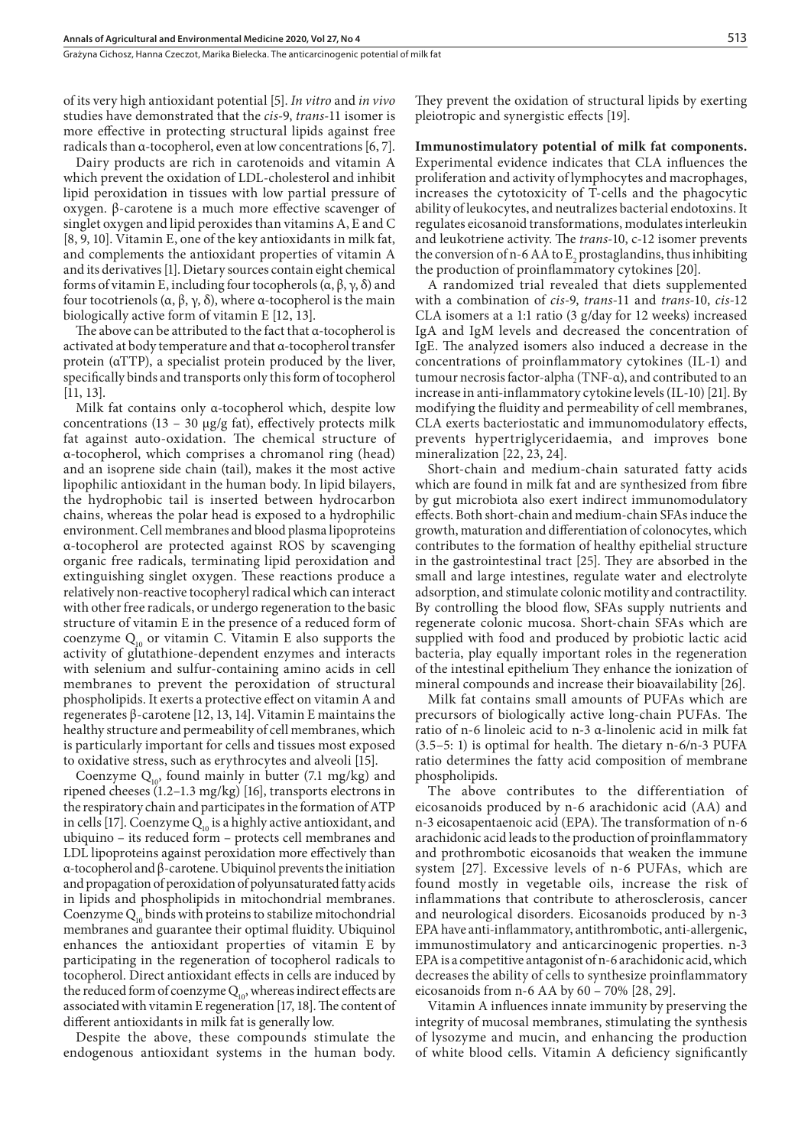Grażyna Cichosz, Hanna Czeczot, Marika Bielecka . The anticarcinogenic potential of milk fat

of its very high antioxidant potential [5]. *In vitro* and *in vivo* studies have demonstrated that the *cis*-9, *trans*-11 isomer is more effective in protecting structural lipids against free radicals than α-tocopherol, even at low concentrations [6, 7].

Dairy products are rich in carotenoids and vitamin A which prevent the oxidation of LDL-cholesterol and inhibit lipid peroxidation in tissues with low partial pressure of oxygen. β-carotene is a much more effective scavenger of singlet oxygen and lipid peroxides than vitamins A, E and C [8, 9, 10]. Vitamin E, one of the key antioxidants in milk fat, and complements the antioxidant properties of vitamin A and its derivatives [1]. Dietary sources contain eight chemical forms of vitamin E, including four tocopherols (α, β, γ, δ) and four tocotrienols (α, β, γ, δ), where α-tocopherol is the main biologically active form of vitamin E [12, 13].

The above can be attributed to the fact that α-tocopherol is activated at body temperature and that α-tocopherol transfer protein (αTTP), a specialist protein produced by the liver, specifically binds and transports only this form of tocopherol [11, 13].

Milk fat contains only α-tocopherol which, despite low concentrations (13 – 30  $\mu$ g/g fat), effectively protects milk fat against auto-oxidation. The chemical structure of α-tocopherol, which comprises a chromanol ring (head) and an isoprene side chain (tail), makes it the most active lipophilic antioxidant in the human body. In lipid bilayers, the hydrophobic tail is inserted between hydrocarbon chains, whereas the polar head is exposed to a hydrophilic environment. Cell membranes and blood plasma lipoproteins α-tocopherol are protected against ROS by scavenging organic free radicals, terminating lipid peroxidation and extinguishing singlet oxygen. These reactions produce a relatively non-reactive tocopheryl radical which can interact with other free radicals, or undergo regeneration to the basic structure of vitamin E in the presence of a reduced form of coenzyme  $Q_{10}$  or vitamin C. Vitamin E also supports the activity of glutathione-dependent enzymes and interacts with selenium and sulfur-containing amino acids in cell membranes to prevent the peroxidation of structural phospholipids. It exerts a protective effect on vitamin A and regenerates β-carotene [12, 13, 14]. Vitamin E maintains the healthy structure and permeability of cell membranes, which is particularly important for cells and tissues most exposed to oxidative stress, such as erythrocytes and alveoli [15].

Coenzyme  $Q_{10}$ , found mainly in butter (7.1 mg/kg) and ripened cheeses (1.2–1.3 mg/kg) [16], transports electrons in the respiratory chain and participates in the formation of ATP in cells [17]. Coenzyme  $Q_{10}$  is a highly active antioxidant, and ubiquino – its reduced form – protects cell membranes and LDL lipoproteins against peroxidation more effectively than α-tocopherol and β-carotene. Ubiquinol prevents the initiation and propagation of peroxidation of polyunsaturated fatty acids in lipids and phospholipids in mitochondrial membranes. Coenzyme  $Q_{10}$  binds with proteins to stabilize mitochondrial membranes and guarantee their optimal fluidity. Ubiquinol enhances the antioxidant properties of vitamin E by participating in the regeneration of tocopherol radicals to tocopherol. Direct antioxidant effects in cells are induced by the reduced form of coenzyme  $Q_{10}$ , whereas indirect effects are associated with vitamin E regeneration [17, 18]. The content of different antioxidants in milk fat is generally low.

Despite the above, these compounds stimulate the endogenous antioxidant systems in the human body.

They prevent the oxidation of structural lipids by exerting pleiotropic and synergistic effects [19].

**Immunostimulatory potential of milk fat components.** Experimental evidence indicates that CLA influences the proliferation and activity of lymphocytes and macrophages, increases the cytotoxicity of T-cells and the phagocytic ability of leukocytes, and neutralizes bacterial endotoxins. It regulates eicosanoid transformations, modulates interleukin and leukotriene activity. The *trans*-10, c-12 isomer prevents the conversion of n-6 AA to  $E_2$  prostaglandins, thus inhibiting the production of proinflammatory cytokines [20].

A randomized trial revealed that diets supplemented with a combination of *cis*-9, *trans*-11 and *trans*-10, *cis*-12 CLA isomers at a 1:1 ratio (3 g/day for 12 weeks) increased IgA and IgM levels and decreased the concentration of IgE. The analyzed isomers also induced a decrease in the concentrations of proinflammatory cytokines (IL-1) and tumour necrosis factor-alpha (TNF-α), and contributed to an increase in anti-inflammatory cytokine levels (IL-10) [21]. By modifying the fluidity and permeability of cell membranes, CLA exerts bacteriostatic and immunomodulatory effects, prevents hypertriglyceridaemia, and improves bone mineralization [22, 23, 24].

Short-chain and medium-chain saturated fatty acids which are found in milk fat and are synthesized from fibre by gut microbiota also exert indirect immunomodulatory effects. Both short-chain and medium-chain SFAs induce the growth, maturation and differentiation of colonocytes, which contributes to the formation of healthy epithelial structure in the gastrointestinal tract [25]. They are absorbed in the small and large intestines, regulate water and electrolyte adsorption, and stimulate colonic motility and contractility. By controlling the blood flow, SFAs supply nutrients and regenerate colonic mucosa. Short-chain SFAs which are supplied with food and produced by probiotic lactic acid bacteria, play equally important roles in the regeneration of the intestinal epithelium They enhance the ionization of mineral compounds and increase their bioavailability [26].

Milk fat contains small amounts of PUFAs which are precursors of biologically active long-chain PUFAs. The ratio of n-6 linoleic acid to n-3 α-linolenic acid in milk fat (3.5–5: 1) is optimal for health. The dietary n-6/n-3 PUFA ratio determines the fatty acid composition of membrane phospholipids.

The above contributes to the differentiation of eicosanoids produced by n-6 arachidonic acid (AA) and n-3 eicosapentaenoic acid (EPA). The transformation of n-6 arachidonic acid leads to the production of proinflammatory and prothrombotic eicosanoids that weaken the immune system [27]. Excessive levels of n-6 PUFAs, which are found mostly in vegetable oils, increase the risk of inflammations that contribute to atherosclerosis, cancer and neurological disorders. Eicosanoids produced by n-3 EPA have anti-inflammatory, antithrombotic, anti-allergenic, immunostimulatory and anticarcinogenic properties. n-3 EPA is a competitive antagonist of n-6 arachidonic acid, which decreases the ability of cells to synthesize proinflammatory eicosanoids from n-6 AA by 60 – 70% [28, 29].

Vitamin A influences innate immunity by preserving the integrity of mucosal membranes, stimulating the synthesis of lysozyme and mucin, and enhancing the production of white blood cells. Vitamin A deficiency significantly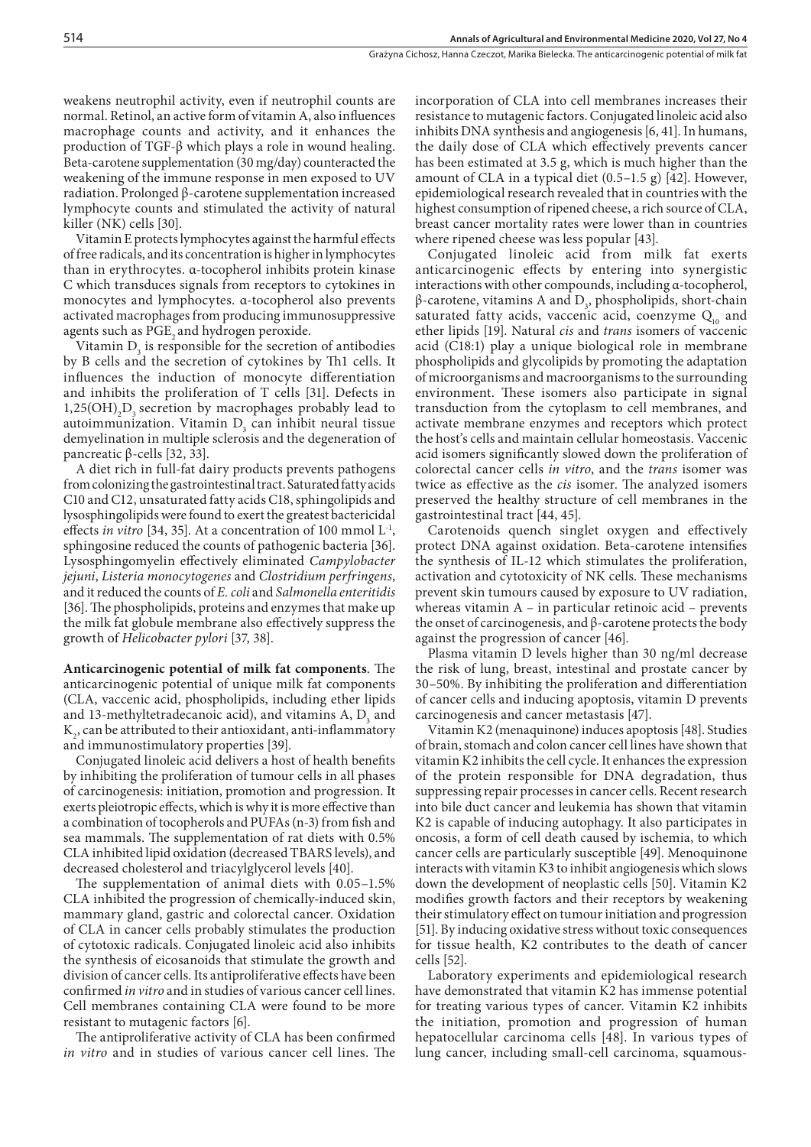weakens neutrophil activity, even if neutrophil counts are normal. Retinol, an active form of vitamin A, also influences macrophage counts and activity, and it enhances the production of TGF-β which plays a role in wound healing. Beta-carotene supplementation (30 mg/day) counteracted the weakening of the immune response in men exposed to UV radiation. Prolonged β-carotene supplementation increased lymphocyte counts and stimulated the activity of natural killer (NK) cells [30].

Vitamin E protects lymphocytes against the harmful effects of free radicals, and its concentration is higher in lymphocytes than in erythrocytes. α-tocopherol inhibits protein kinase C which transduces signals from receptors to cytokines in monocytes and lymphocytes. α-tocopherol also prevents activated macrophages from producing immunosuppressive agents such as PGE, and hydrogen peroxide.

Vitamin  $D_3$  is responsible for the secretion of antibodies by B cells and the secretion of cytokines by Th1 cells. It influences the induction of monocyte differentiation and inhibits the proliferation of T cells [31]. Defects in  $1,25(OH)$ <sub>2</sub>D<sub>3</sub> secretion by macrophages probably lead to  $\alpha$ utoimmunization. Vitamin  $D_3$  can inhibit neural tissue demyelination in multiple sclerosis and the degeneration of pancreatic β-cells [32, 33].

A diet rich in full-fat dairy products prevents pathogens from colonizing the gastrointestinal tract. Saturated fatty acids C10 and C12, unsaturated fatty acids C18, sphingolipids and lysosphingolipids were found to exert the greatest bactericidal effects *in vitro* [34, 35]. At a concentration of 100 mmol L<sup>-1</sup>, sphingosine reduced the counts of pathogenic bacteria [36]. Lysosphingomyelin effectively eliminated *Campylobacter jejuni*, *Listeria monocytogenes* and *Clostridium perfringens*, and it reduced the counts of *E. coli* and *Salmonella enteritidis* [36]. The phospholipids, proteins and enzymes that make up the milk fat globule membrane also effectively suppress the growth of *Helicobacter pylori* [37, 38].

**Anticarcinogenic potential of milk fat components**. The anticarcinogenic potential of unique milk fat components (CLA, vaccenic acid, phospholipids, including ether lipids and 13-methyltetradecanoic acid), and vitamins  $A$ ,  $D_3$  and  $K_2$ , can be attributed to their antioxidant, anti-inflammatory and immunostimulatory properties [39].

Conjugated linoleic acid delivers a host of health benefits by inhibiting the proliferation of tumour cells in all phases of carcinogenesis: initiation, promotion and progression. It exerts pleiotropic effects, which is why it is more effective than a combination of tocopherols and PUFAs (n-3) from fish and sea mammals. The supplementation of rat diets with 0.5% CLA inhibited lipid oxidation (decreased TBARS levels), and decreased cholesterol and triacylglycerol levels [40].

The supplementation of animal diets with 0.05–1.5% CLA inhibited the progression of chemically-induced skin, mammary gland, gastric and colorectal cancer. Oxidation of CLA in cancer cells probably stimulates the production of cytotoxic radicals. Conjugated linoleic acid also inhibits the synthesis of eicosanoids that stimulate the growth and division of cancer cells. Its antiproliferative effects have been confirmed *in vitro* and in studies of various cancer cell lines. Cell membranes containing CLA were found to be more resistant to mutagenic factors [6].

The antiproliferative activity of CLA has been confirmed *in vitro* and in studies of various cancer cell lines. The

incorporation of CLA into cell membranes increases their resistance to mutagenic factors. Conjugated linoleic acid also inhibits DNA synthesis and angiogenesis [6, 41]. In humans, the daily dose of CLA which effectively prevents cancer has been estimated at 3.5 g, which is much higher than the amount of CLA in a typical diet (0.5–1.5 g) [42]. However, epidemiological research revealed that in countries with the highest consumption of ripened cheese, a rich source of CLA, breast cancer mortality rates were lower than in countries where ripened cheese was less popular [43].

Conjugated linoleic acid from milk fat exerts anticarcinogenic effects by entering into synergistic interactions with other compounds, including α-tocopherol,  $β$ -carotene, vitamins A and D<sub>3</sub>, phospholipids, short-chain saturated fatty acids, vaccenic acid, coenzyme  $Q_{10}$  and ether lipids [19]. Natural *cis* and *trans* isomers of vaccenic acid (C18:1) play a unique biological role in membrane phospholipids and glycolipids by promoting the adaptation of microorganisms and macroorganisms to the surrounding environment. These isomers also participate in signal transduction from the cytoplasm to cell membranes, and activate membrane enzymes and receptors which protect the host's cells and maintain cellular homeostasis. Vaccenic acid isomers significantly slowed down the proliferation of colorectal cancer cells *in vitro*, and the *trans* isomer was twice as effective as the *cis* isomer. The analyzed isomers preserved the healthy structure of cell membranes in the gastrointestinal tract [44, 45].

Carotenoids quench singlet oxygen and effectively protect DNA against oxidation. Beta-carotene intensifies the synthesis of IL-12 which stimulates the proliferation, activation and cytotoxicity of NK cells. These mechanisms prevent skin tumours caused by exposure to UV radiation, whereas vitamin A – in particular retinoic acid – prevents the onset of carcinogenesis, and β-carotene protects the body against the progression of cancer [46].

Plasma vitamin D levels higher than 30 ng/ml decrease the risk of lung, breast, intestinal and prostate cancer by 30–50%. By inhibiting the proliferation and differentiation of cancer cells and inducing apoptosis, vitamin D prevents carcinogenesis and cancer metastasis [47].

Vitamin K2 (menaquinone) induces apoptosis [48]. Studies of brain, stomach and colon cancer cell lines have shown that vitamin K2 inhibits the cell cycle. It enhances the expression of the protein responsible for DNA degradation, thus suppressing repair processes in cancer cells. Recent research into bile duct cancer and leukemia has shown that vitamin K2 is capable of inducing autophagy. It also participates in oncosis, a form of cell death caused by ischemia, to which cancer cells are particularly susceptible [49]. Menoquinone interacts with vitamin K3 to inhibit angiogenesis which slows down the development of neoplastic cells [50]. Vitamin K2 modifies growth factors and their receptors by weakening their stimulatory effect on tumour initiation and progression [51]. By inducing oxidative stress without toxic consequences for tissue health, K2 contributes to the death of cancer cells [52].

Laboratory experiments and epidemiological research have demonstrated that vitamin K2 has immense potential for treating various types of cancer. Vitamin K2 inhibits the initiation, promotion and progression of human hepatocellular carcinoma cells [48]. In various types of lung cancer, including small-cell carcinoma, squamous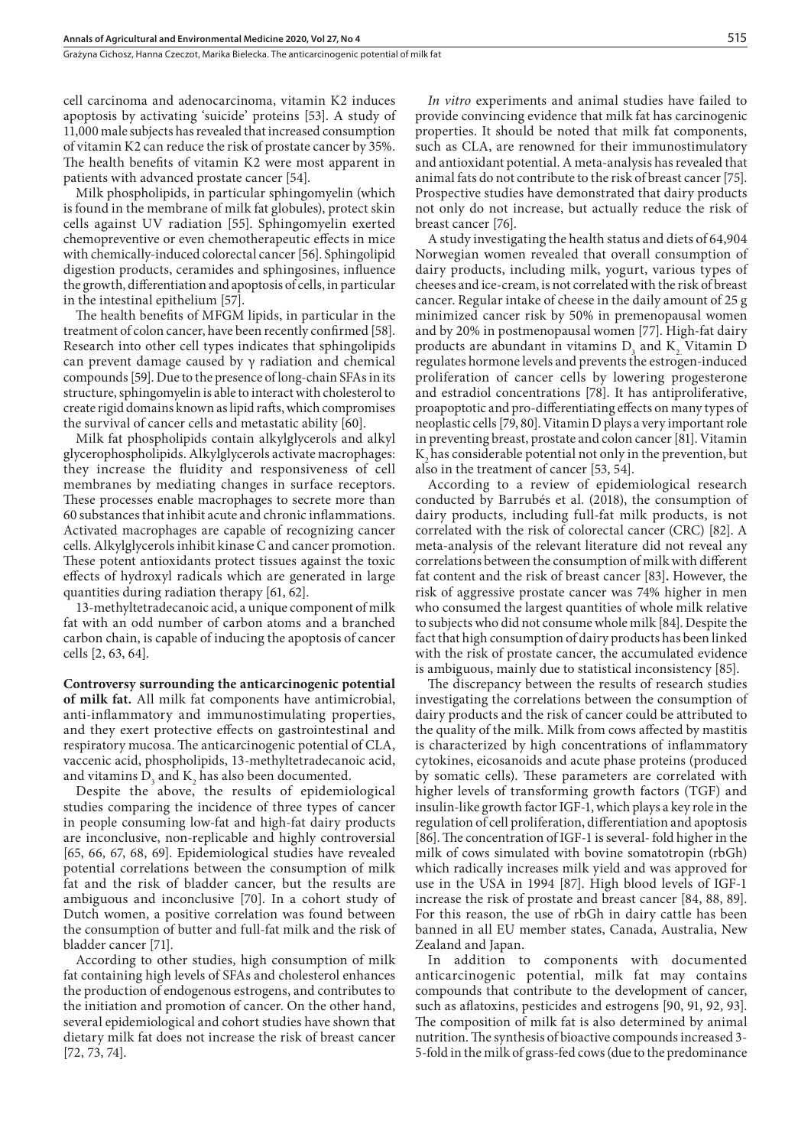Grażyna Cichosz, Hanna Czeczot, Marika Bielecka . The anticarcinogenic potential of milk fat

cell carcinoma and adenocarcinoma, vitamin K2 induces apoptosis by activating 'suicide' proteins [53]. A study of 11,000 male subjects has revealed that increased consumption of vitamin K2 can reduce the risk of prostate cancer by 35%. The health benefits of vitamin K2 were most apparent in patients with advanced prostate cancer [54].

Milk phospholipids, in particular sphingomyelin (which is found in the membrane of milk fat globules), protect skin cells against UV radiation [55]. Sphingomyelin exerted chemopreventive or even chemotherapeutic effects in mice with chemically-induced colorectal cancer [56]. Sphingolipid digestion products, ceramides and sphingosines, influence the growth, differentiation and apoptosis of cells, in particular in the intestinal epithelium [57].

The health benefits of MFGM lipids, in particular in the treatment of colon cancer, have been recently confirmed [58]. Research into other cell types indicates that sphingolipids can prevent damage caused by γ radiation and chemical compounds [59]. Due to the presence of long-chain SFAs in its structure, sphingomyelin is able to interact with cholesterol to create rigid domains known as lipid rafts, which compromises the survival of cancer cells and metastatic ability [60].

Milk fat phospholipids contain alkylglycerols and alkyl glycerophospholipids. Alkylglycerols activate macrophages: they increase the fluidity and responsiveness of cell membranes by mediating changes in surface receptors. These processes enable macrophages to secrete more than 60 substances that inhibit acute and chronic inflammations. Activated macrophages are capable of recognizing cancer cells. Alkylglycerols inhibit kinase C and cancer promotion. These potent antioxidants protect tissues against the toxic effects of hydroxyl radicals which are generated in large quantities during radiation therapy [61, 62].

13-methyltetradecanoic acid, a unique component of milk fat with an odd number of carbon atoms and a branched carbon chain, is capable of inducing the apoptosis of cancer cells [2, 63, 64].

**Controversy surrounding the anticarcinogenic potential of milk fat.** All milk fat components have antimicrobial, anti-inflammatory and immunostimulating properties, and they exert protective effects on gastrointestinal and respiratory mucosa. The anticarcinogenic potential of CLA, vaccenic acid, phospholipids, 13-methyltetradecanoic acid, and vitamins  $D_3$  and  $K_2$  has also been documented.

Despite the above, the results of epidemiological studies comparing the incidence of three types of cancer in people consuming low-fat and high-fat dairy products are inconclusive, non-replicable and highly controversial [65, 66, 67, 68, 69]. Epidemiological studies have revealed potential correlations between the consumption of milk fat and the risk of bladder cancer, but the results are ambiguous and inconclusive [70]. In a cohort study of Dutch women, a positive correlation was found between the consumption of butter and full-fat milk and the risk of bladder cancer [71].

According to other studies, high consumption of milk fat containing high levels of SFAs and cholesterol enhances the production of endogenous estrogens, and contributes to the initiation and promotion of cancer. On the other hand, several epidemiological and cohort studies have shown that dietary milk fat does not increase the risk of breast cancer [72, 73, 74].

*In vitro* experiments and animal studies have failed to provide convincing evidence that milk fat has carcinogenic properties. It should be noted that milk fat components, such as CLA, are renowned for their immunostimulatory and antioxidant potential. A meta-analysis has revealed that animal fats do not contribute to the risk of breast cancer [75]. Prospective studies have demonstrated that dairy products not only do not increase, but actually reduce the risk of breast cancer [76].

A study investigating the health status and diets of 64,904 Norwegian women revealed that overall consumption of dairy products, including milk, yogurt, various types of cheeses and ice-cream, is not correlated with the risk of breast cancer. Regular intake of cheese in the daily amount of 25 g minimized cancer risk by 50% in premenopausal women and by 20% in postmenopausal women [77]. High-fat dairy products are abundant in vitamins  $D_3$  and  $K_2$  Vitamin D regulates hormone levels and prevents the estrogen-induced proliferation of cancer cells by lowering progesterone and estradiol concentrations [78]. It has antiproliferative, proapoptotic and pro-differentiating effects on many types of neoplastic cells [79, 80]. Vitamin D plays a very important role in preventing breast, prostate and colon cancer [81]. Vitamin  $K<sub>2</sub>$  has considerable potential not only in the prevention, but also in the treatment of cancer [53, 54].

According to a review of epidemiological research conducted by Barrubés et al. (2018), the consumption of dairy products, including full-fat milk products, is not correlated with the risk of colorectal cancer (CRC) [82]. A meta-analysis of the relevant literature did not reveal any correlations between the consumption of milk with different fat content and the risk of breast cancer [83]**.** However, the risk of aggressive prostate cancer was 74% higher in men who consumed the largest quantities of whole milk relative to subjects who did not consume whole milk [84]. Despite the fact that high consumption of dairy products has been linked with the risk of prostate cancer, the accumulated evidence is ambiguous, mainly due to statistical inconsistency [85].

The discrepancy between the results of research studies investigating the correlations between the consumption of dairy products and the risk of cancer could be attributed to the quality of the milk. Milk from cows affected by mastitis is characterized by high concentrations of inflammatory cytokines, eicosanoids and acute phase proteins (produced by somatic cells). These parameters are correlated with higher levels of transforming growth factors (TGF) and insulin-like growth factor IGF-1, which plays a key role in the regulation of cell proliferation, differentiation and apoptosis [86]. The concentration of IGF-1 is several- fold higher in the milk of cows simulated with bovine somatotropin (rbGh) which radically increases milk yield and was approved for use in the USA in 1994 [87]. High blood levels of IGF-1 increase the risk of prostate and breast cancer [84, 88, 89]. For this reason, the use of rbGh in dairy cattle has been banned in all EU member states, Canada, Australia, New Zealand and Japan.

In addition to components with documented anticarcinogenic potential, milk fat may contains compounds that contribute to the development of cancer, such as aflatoxins, pesticides and estrogens [90, 91, 92, 93]. The composition of milk fat is also determined by animal nutrition. The synthesis of bioactive compounds increased 3- 5-fold in the milk of grass-fed cows (due to the predominance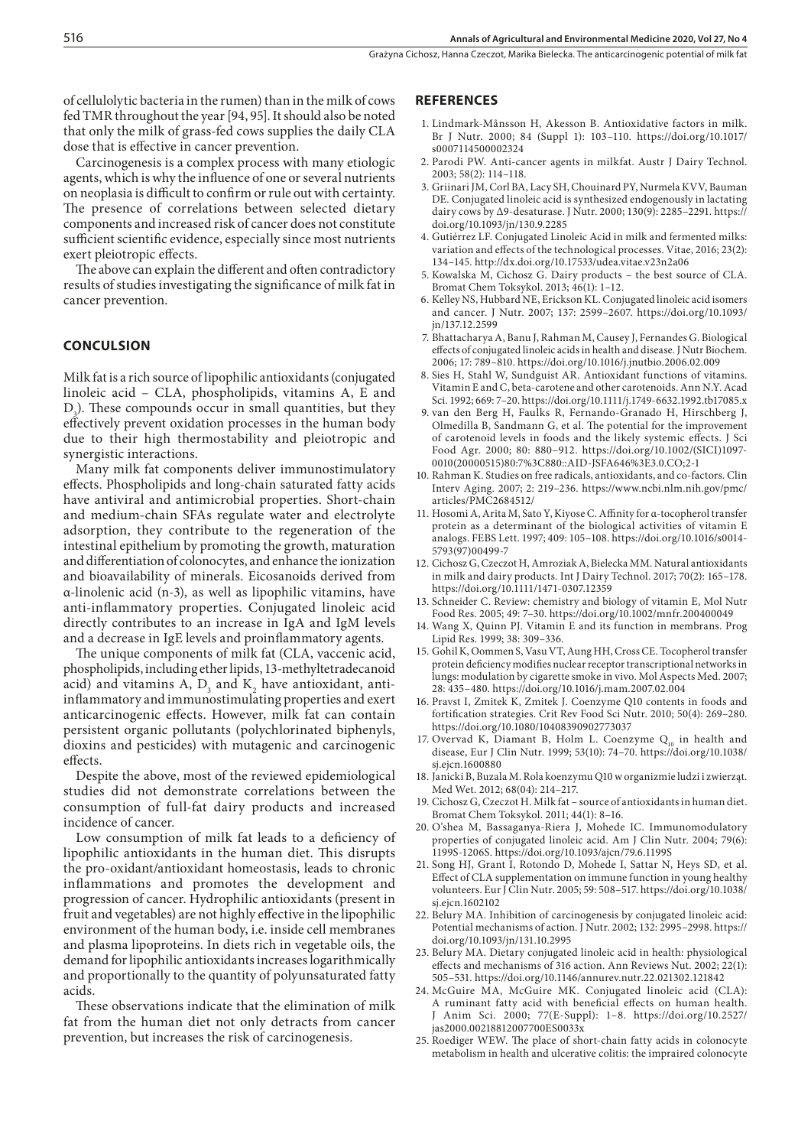of cellulolytic bacteria in the rumen) than in the milk of cows fed TMR throughout the year [94, 95]. It should also be noted that only the milk of grass-fed cows supplies the daily CLA dose that is effective in cancer prevention.

Carcinogenesis is a complex process with many etiologic agents, which is why the influence of one or several nutrients on neoplasia is difficult to confirm or rule out with certainty. The presence of correlations between selected dietary components and increased risk of cancer does not constitute sufficient scientific evidence, especially since most nutrients exert pleiotropic effects.

The above can explain the different and often contradictory results of studies investigating the significance of milk fat in cancer prevention.

#### **CONCULSION**

Milk fat is a rich source of lipophilic antioxidants (conjugated linoleic acid – CLA, phospholipids, vitamins A, E and  $D_3$ ). These compounds occur in small quantities, but they effectively prevent oxidation processes in the human body due to their high thermostability and pleiotropic and synergistic interactions.

Many milk fat components deliver immunostimulatory effects. Phospholipids and long-chain saturated fatty acids have antiviral and antimicrobial properties. Short-chain and medium-chain SFAs regulate water and electrolyte adsorption, they contribute to the regeneration of the intestinal epithelium by promoting the growth, maturation and differentiation of colonocytes, and enhance the ionization and bioavailability of minerals. Eicosanoids derived from α-linolenic acid (n-3), as well as lipophilic vitamins, have anti-inflammatory properties. Conjugated linoleic acid directly contributes to an increase in IgA and IgM levels and a decrease in IgE levels and proinflammatory agents.

The unique components of milk fat (CLA, vaccenic acid, phospholipids, including ether lipids, 13-methyltetradecanoid acid) and vitamins A,  $D_3$  and  $K_2$  have antioxidant, antiinflammatory and immunostimulating properties and exert anticarcinogenic effects. However, milk fat can contain persistent organic pollutants (polychlorinated biphenyls, dioxins and pesticides) with mutagenic and carcinogenic effects.

Despite the above, most of the reviewed epidemiological studies did not demonstrate correlations between the consumption of full-fat dairy products and increased incidence of cancer.

Low consumption of milk fat leads to a deficiency of lipophilic antioxidants in the human diet. This disrupts the pro-oxidant/antioxidant homeostasis, leads to chronic inflammations and promotes the development and progression of cancer. Hydrophilic antioxidants (present in fruit and vegetables) are not highly effective in the lipophilic environment of the human body, i.e. inside cell membranes and plasma lipoproteins. In diets rich in vegetable oils, the demand for lipophilic antioxidants increases logarithmically and proportionally to the quantity of polyunsaturated fatty acids.

These observations indicate that the elimination of milk fat from the human diet not only detracts from cancer prevention, but increases the risk of carcinogenesis.

#### **REFERENCES**

- 1. Lindmark-Månsson H, Akesson B. Antioxidative factors in milk. Br J Nutr. 2000; 84 (Suppl 1): 103–110. https://doi.org/10.1017/ s0007114500002324
- 2. Parodi PW. Anti-cancer agents in milkfat. Austr J Dairy Technol. 2003; 58(2): 114–118.
- 3. Griinari JM, Corl BA, Lacy SH, Chouinard PY, Nurmela KVV, Bauman DE. Conjugated linoleic acid is synthesized endogenously in lactating dairy cows by Δ9-desaturase. J Nutr. 2000; 130(9): 2285–2291. https:// doi.org/10.1093/jn/130.9.2285
- 4. Gutiérrez LF. Conjugated Linoleic Acid in milk and fermented milks: variation and effects of the technological processes. Vitae, 2016; 23(2): 134–145. http://dx.doi.org/10.17533/udea.vitae.v23n2a06
- 5. Kowalska M, Cichosz G. Dairy products the best source of CLA. Bromat Chem Toksykol. 2013; 46(1): 1–12.
- 6. Kelley NS, Hubbard NE, Erickson KL. Conjugated linoleic acid isomers and cancer. J Nutr. 2007; 137: 2599–2607. https://doi.org/10.1093/ jn/137.12.2599
- 7. Bhattacharya A, Banu J, Rahman M, Causey J, Fernandes G. Biological effects of conjugated linoleic acids in health and disease. J Nutr Biochem. 2006; 17: 789–810. https://doi.org/10.1016/j.jnutbio.2006.02.009
- 8. Sies H, Stahl W, Sundguist AR. Antioxidant functions of vitamins. Vitamin E and C, beta-carotene and other carotenoids. Ann N.Y. Acad Sci. 1992; 669: 7–20. https://doi.org/10.1111/j.1749-6632.1992.tb17085.x
- 9. van den Berg H, Faulks R, Fernando-Granado H, Hirschberg J, Olmedilla B, Sandmann G, et al. The potential for the improvement of carotenoid levels in foods and the likely systemic effects. J Sci Food Agr. 2000; 80: 880–912. https://doi.org/10.1002/(SICI)1097- 0010(20000515)80:7%3C880::AID-JSFA646%3E3.0.CO;2-1
- 10. Rahman K. Studies on free radicals, antioxidants, and co-factors. Clin Interv Aging. 2007; 2: 219–236. https://www.ncbi.nlm.nih.gov/pmc/ articles/PMC2684512/
- 11. Hosomi A, Arita M, Sato Y, Kiyose C. Affinity for α-tocopherol transfer protein as a determinant of the biological activities of vitamin E analogs. FEBS Lett. 1997; 409: 105–108. https://doi.org/10.1016/s0014- 5793(97)00499-7
- 12. Cichosz G, Czeczot H, Amroziak A, Bielecka MM. Natural antioxidants in milk and dairy products. Int J Dairy Technol. 2017; 70(2): 165–178. https://doi.org/10.1111/1471-0307.12359
- 13. Schneider C. Review: chemistry and biology of vitamin E, Mol Nutr Food Res. 2005; 49: 7–30. https://doi.org/10.1002/mnfr.200400049
- 14. Wang X, Quinn PJ. Vitamin E and its function in membrans. Prog Lipid Res. 1999; 38: 309–336.
- 15. Gohil K, Oommen S, Vasu VT, Aung HH, Cross CE. Tocopherol transfer protein deficiency modifies nuclear receptor transcriptional networks in lungs: modulation by cigarette smoke in vivo. Mol Aspects Med. 2007; 28: 435–480. https://doi.org/10.1016/j.mam.2007.02.004
- 16. Pravst I, Zmitek K, Zmitek J. Coenzyme Q10 contents in foods and fortification strategies. Crit Rev Food Sci Nutr. 2010; 50(4): 269–280. https://doi.org/10.1080/10408390902773037
- 17. Overvad K, Diamant B, Holm L. Coenzyme  $Q_{10}$  in health and disease, Eur J Clin Nutr. 1999; 53(10): 74–70. https://doi.org/10.1038/ si.eicn.1600880
- 18. Janicki B, Buzala M. Rola koenzymu Q10 w organizmie ludzi i zwierząt. Med Wet. 2012; 68(04): 214–217.
- 19. Cichosz G, Czeczot H. Milk fat source of antioxidants in human diet. Bromat Chem Toksykol. 2011; 44(1): 8–16.
- 20. O'shea M, Bassaganya-Riera J, Mohede IC. Immunomodulatory properties of conjugated linoleic acid. Am J Clin Nutr. 2004; 79(6): 1199S-1206S. https://doi.org/10.1093/ajcn/79.6.1199S
- 21. Song HJ, Grant I, Rotondo D, Mohede I, Sattar N, Heys SD, et al. Effect of CLA supplementation on immune function in young healthy volunteers. Eur J Clin Nutr. 2005; 59: 508–517. https://doi.org/10.1038/ si.eicn.1602102
- 22. Belury MA. Inhibition of carcinogenesis by conjugated linoleic acid: Potential mechanisms of action. J Nutr. 2002; 132: 2995–2998. https:// doi.org/10.1093/jn/131.10.2995
- 23. Belury MA. Dietary conjugated linoleic acid in health: physiological effects and mechanisms of 316 action. Ann Reviews Nut. 2002; 22(1): 505–531. https://doi.org/10.1146/annurev.nutr.22.021302.121842
- 24. McGuire MA, McGuire MK. Conjugated linoleic acid (CLA): A ruminant fatty acid with beneficial effects on human health. J Anim Sci. 2000; 77(E-Suppl): 1–8. https://doi.org/10.2527/ jas2000.00218812007700ES0033x
- 25. Roediger WEW. The place of short-chain fatty acids in colonocyte metabolism in health and ulcerative colitis: the impraired colonocyte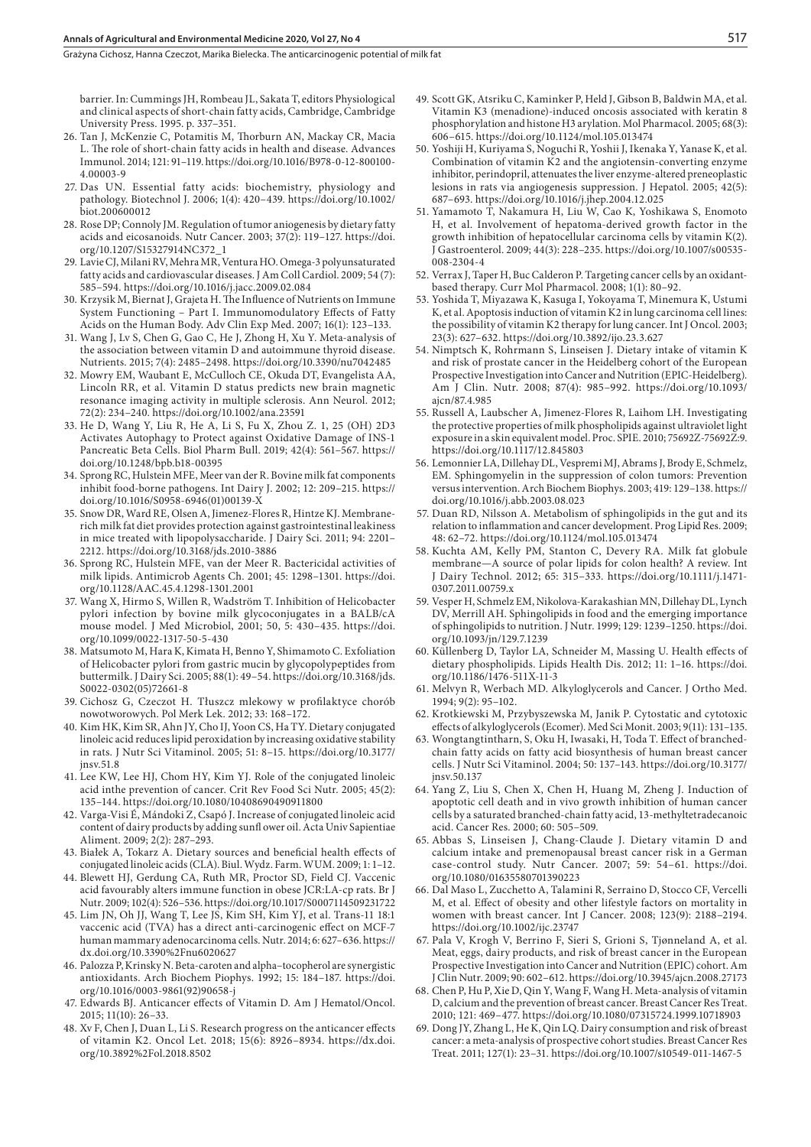Grażyna Cichosz, Hanna Czeczot, Marika Bielecka . The anticarcinogenic potential of milk fat

barrier. In: Cummings JH, Rombeau JL, Sakata T, editors Physiological and clinical aspects of short-chain fatty acids, Cambridge, Cambridge University Press. 1995. p. 337–351.

- 26. Tan J, McKenzie C, Potamitis M, Thorburn AN, Mackay CR, Macia L. The role of short-chain fatty acids in health and disease. Advances Immunol. 2014; 121: 91–119. https://doi.org/10.1016/B978-0-12-800100- 4.00003-9
- 27. Das UN. Essential fatty acids: biochemistry, physiology and pathology. Biotechnol J. 2006; 1(4): 420–439. https://doi.org/10.1002/ biot.200600012
- 28. Rose DP; Connoly JM. Regulation of tumor aniogenesis by dietary fatty acids and eicosanoids. Nutr Cancer. 2003; 37(2): 119–127. https://doi. org/10.1207/S15327914NC372\_1
- 29. Lavie CJ, Milani RV, Mehra MR, Ventura HO. Omega-3 polyunsaturated fatty acids and cardiovascular diseases. J Am Coll Cardiol. 2009; 54 (7): 585–594. https://doi.org/10.1016/j.jacc.2009.02.084
- 30. Krzysik M, Biernat J, Grajeta H. The Influence of Nutrients on Immune System Functioning – Part I. Immunomodulatory Effects of Fatty Acids on the Human Body. Adv Clin Exp Med. 2007; 16(1): 123–133.
- 31. Wang J, Lv S, Chen G, Gao C, He J, Zhong H, Xu Y. Meta-analysis of the association between vitamin D and autoimmune thyroid disease. Nutrients. 2015; 7(4): 2485–2498. https://doi.org/10.3390/nu7042485
- 32. Mowry EM, Waubant E, McCulloch CE, Okuda DT, Evangelista AA, Lincoln RR, et al. Vitamin D status predicts new brain magnetic resonance imaging activity in multiple sclerosis. Ann Neurol. 2012; 72(2): 234–240. https://doi.org/10.1002/ana.23591
- 33. He D, Wang Y, Liu R, He A, Li S, Fu X, Zhou Z. 1, 25 (OH) 2D3 Activates Autophagy to Protect against Oxidative Damage of INS-1 Pancreatic Beta Cells. Biol Pharm Bull. 2019; 42(4): 561–567. https:// doi.org/10.1248/bpb.b18-00395
- 34. Sprong RC, Hulstein MFE, Meer van der R. Bovine milk fat components inhibit food-borne pathogens. Int Dairy J. 2002; 12: 209–215. https:// doi.org/10.1016/S0958-6946(01)00139-X
- 35. Snow DR, Ward RE, Olsen A, Jimenez-Flores R, Hintze KJ. Membranerich milk fat diet provides protection against gastrointestinal leakiness in mice treated with lipopolysaccharide. J Dairy Sci. 2011; 94: 2201– 2212. https://doi.org/10.3168/jds.2010-3886
- 36. Sprong RC, Hulstein MFE, van der Meer R. Bactericidal activities of milk lipids. Antimicrob Agents Ch. 2001; 45: 1298–1301. https://doi. org/10.1128/AAC.45.4.1298-1301.2001
- 37. Wang X, Hirmo S, Willen R, Wadström T. Inhibition of Helicobacter pylori infection by bovine milk glycoconjugates in a BALB/cA mouse model. J Med Microbiol, 2001; 50, 5: 430–435. https://doi. org/10.1099/0022-1317-50-5-430
- 38. Matsumoto M, Hara K, Kimata H, Benno Y, Shimamoto C. Exfoliation of Helicobacter pylori from gastric mucin by glycopolypeptides from buttermilk. J Dairy Sci. 2005; 88(1): 49–54. https://doi.org/10.3168/jds. S0022-0302(05)72661-8
- 39. Cichosz G, Czeczot H. Tłuszcz mlekowy w profilaktyce chorób nowotworowych. Pol Merk Lek. 2012; 33: 168–172.
- 40. Kim HK, Kim SR, Ahn JY, Cho IJ, Yoon CS, Ha TY. Dietary conjugated linoleic acid reduces lipid peroxidation by increasing oxidative stability in rats. J Nutr Sci Vitaminol. 2005; 51: 8–15. https://doi.org/10.3177/ jnsv.51.8
- 41. Lee KW, Lee HJ, Chom HY, Kim YJ. Role of the conjugated linoleic acid inthe prevention of cancer. Crit Rev Food Sci Nutr. 2005; 45(2): 135–144. https://doi.org/10.1080/10408690490911800
- 42. Varga-Visi É, Mándoki Z, Csapó J. Increase of conjugated linoleic acid content of dairy products by adding sunfl ower oil. Acta Univ Sapientiae Aliment. 2009; 2(2): 287–293.
- 43. Białek A, Tokarz A. Dietary sources and beneficial health effects of conjugated linoleic acids (CLA). Biul. Wydz. Farm. WUM. 2009; 1: 1–12.
- 44. Blewett HJ, Gerdung CA, Ruth MR, Proctor SD, Field CJ. Vaccenic acid favourably alters immune function in obese JCR:LA-cp rats. Br J Nutr. 2009; 102(4): 526–536. https://doi.org/10.1017/S0007114509231722
- 45. Lim JN, Oh JJ, Wang T, Lee JS, Kim SH, Kim YJ, et al. Trans-11 18:1 vaccenic acid (TVA) has a direct anti-carcinogenic effect on MCF-7 human mammary adenocarcinoma cells. Nutr. 2014; 6: 627–636. https:// dx.doi.org/10.3390%2Fnu6020627
- 46. Palozza P, Krinsky N. Beta-caroten and alpha–tocopherol are synergistic antioxidants. Arch Biochem Piophys. 1992; 15: 184–187. https://doi. org/10.1016/0003-9861(92)90658-j
- 47. Edwards BJ. Anticancer effects of Vitamin D. Am J Hematol/Oncol. 2015; 11(10): 26–33.
- 48. Xv F, Chen J, Duan L, Li S. Research progress on the anticancer effects of vitamin K2. Oncol Let. 2018; 15(6): 8926–8934. https://dx.doi. org/10.3892%2Fol.2018.8502
- 49. Scott GK, Atsriku C, Kaminker P, Held J, Gibson B, Baldwin MA, et al. Vitamin K3 (menadione)-induced oncosis associated with keratin 8 phosphorylation and histone H3 arylation. Mol Pharmacol. 2005; 68(3): 606–615. https://doi.org/10.1124/mol.105.013474
- 50. Yoshiji H, Kuriyama S, Noguchi R, Yoshii J, Ikenaka Y, Yanase K, et al. Combination of vitamin K2 and the angiotensin-converting enzyme inhibitor, perindopril, attenuates the liver enzyme-altered preneoplastic lesions in rats via angiogenesis suppression. J Hepatol. 2005; 42(5): 687–693. https://doi.org/10.1016/j.jhep.2004.12.025
- 51. Yamamoto T, Nakamura H, Liu W, Cao K, Yoshikawa S, Enomoto H, et al. Involvement of hepatoma-derived growth factor in the growth inhibition of hepatocellular carcinoma cells by vitamin K(2). J Gastroenterol. 2009; 44(3): 228–235. https://doi.org/10.1007/s00535- 008-2304-4
- 52. Verrax J, Taper H, Buc Calderon P. Targeting cancer cells by an oxidantbased therapy. Curr Mol Pharmacol. 2008; 1(1): 80–92.
- 53. Yoshida T, Miyazawa K, Kasuga I, Yokoyama T, Minemura K, Ustumi K, et al. Apoptosis induction of vitamin K2 in lung carcinoma cell lines: the possibility of vitamin K2 therapy for lung cancer. Int J Oncol. 2003; 23(3): 627–632. https://doi.org/10.3892/ijo.23.3.627
- 54. Nimptsch K, Rohrmann S, Linseisen J. Dietary intake of vitamin K and risk of prostate cancer in the Heidelberg cohort of the European Prospective Investigation into Cancer and Nutrition (EPIC-Heidelberg). Am J Clin. Nutr. 2008; 87(4): 985–992. https://doi.org/10.1093/ ajcn/87.4.985
- 55. Russell A, Laubscher A, Jimenez-Flores R, Laihom LH. Investigating the protective properties of milk phospholipids against ultraviolet light exposure in a skin equivalent model. Proc. SPIE. 2010; 75692Z-75692Z:9. https://doi.org/10.1117/12.845803
- 56. Lemonnier LA, Dillehay DL, Vespremi MJ, Abrams J, Brody E, Schmelz, EM. Sphingomyelin in the suppression of colon tumors: Prevention versus intervention. Arch Biochem Biophys. 2003; 419: 129–138. https:// doi.org/10.1016/j.abb.2003.08.023
- 57. Duan RD, Nilsson A. Metabolism of sphingolipids in the gut and its relation to inflammation and cancer development. Prog Lipid Res. 2009; 48: 62–72. https://doi.org/10.1124/mol.105.013474
- 58. Kuchta AM, Kelly PM, Stanton C, Devery RA. Milk fat globule membrane—A source of polar lipids for colon health? A review. Int J Dairy Technol. 2012; 65: 315–333. https://doi.org/10.1111/j.1471- 0307.2011.00759.x
- 59. Vesper H, Schmelz EM, Nikolova-Karakashian MN, Dillehay DL, Lynch DV, Merrill AH. Sphingolipids in food and the emerging importance of sphingolipids to nutrition. J Nutr. 1999; 129: 1239–1250. https://doi. org/10.1093/jn/129.7.1239
- 60. Küllenberg D, Taylor LA, Schneider M, Massing U. Health effects of dietary phospholipids. Lipids Health Dis. 2012; 11: 1–16. https://doi. org/10.1186/1476-511X-11-3
- 61. Melvyn R, Werbach MD. Alkyloglycerols and Cancer. J Ortho Med. 1994; 9(2): 95–102.
- 62. Krotkiewski M, Przybyszewska M, Janik P. Cytostatic and cytotoxic effects of alkyloglycerols (Ecomer). Med Sci Monit. 2003; 9(11): 131–135.
- 63. Wongtangtintharn, S, Oku H, Iwasaki, H, Toda T. Effect of branchedchain fatty acids on fatty acid biosynthesis of human breast cancer cells. J Nutr Sci Vitaminol. 2004; 50: 137–143. https://doi.org/10.3177/ jnsv.50.137
- 64. Yang Z, Liu S, Chen X, Chen H, Huang M, Zheng J. Induction of apoptotic cell death and in vivo growth inhibition of human cancer cells by a saturated branched-chain fatty acid, 13-methyltetradecanoic acid. Cancer Res. 2000; 60: 505–509.
- 65. Abbas S, Linseisen J, Chang-Claude J. Dietary vitamin D and calcium intake and premenopausal breast cancer risk in a German case-control study. Nutr Cancer. 2007; 59: 54–61. https://doi. org/10.1080/01635580701390223
- 66. Dal Maso L, Zucchetto A, Talamini R, Serraino D, Stocco CF, Vercelli M, et al. Effect of obesity and other lifestyle factors on mortality in women with breast cancer. Int J Cancer. 2008; 123(9): 2188–2194. https://doi.org/10.1002/ijc.23747
- 67. Pala V, Krogh V, Berrino F, Sieri S, Grioni S, Tjønneland A, et al. Meat, eggs, dairy products, and risk of breast cancer in the European Prospective Investigation into Cancer and Nutrition (EPIC) cohort. Am J Clin Nutr. 2009; 90: 602–612. https://doi.org/10.3945/ajcn.2008.27173
- 68. Chen P, Hu P, Xie D, Qin Y, Wang F, Wang H. Meta-analysis of vitamin D, calcium and the prevention of breast cancer. Breast Cancer Res Treat. 2010; 121: 469–477. https://doi.org/10.1080/07315724.1999.10718903
- 69. Dong JY, Zhang L, He K, Qin LQ. Dairy consumption and risk of breast cancer: a meta-analysis of prospective cohort studies. Breast Cancer Res Treat. 2011; 127(1): 23–31. https://doi.org/10.1007/s10549-011-1467-5